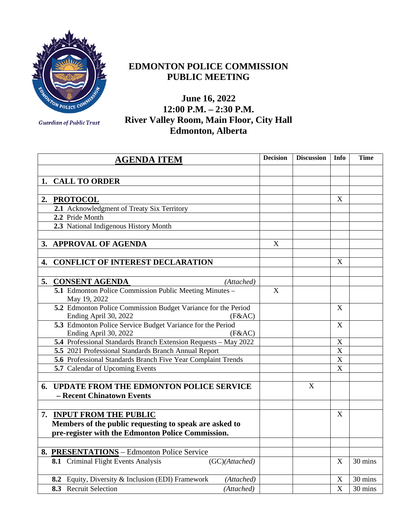

## **EDMONTON POLICE COMMISSION PUBLIC MEETING**

**June 16, 2022 12:00 P.M. – 2:30 P.M. River Valley Room, Main Floor, City Hall Edmonton, Alberta**

|    | <b>AGENDA ITEM</b>                                                                               | <b>Decision</b> | <b>Discussion</b> | Info                      | <b>Time</b> |
|----|--------------------------------------------------------------------------------------------------|-----------------|-------------------|---------------------------|-------------|
|    |                                                                                                  |                 |                   |                           |             |
| 1. | <b>CALL TO ORDER</b>                                                                             |                 |                   |                           |             |
|    |                                                                                                  |                 |                   |                           |             |
| 2. | <b>PROTOCOL</b>                                                                                  |                 |                   | X                         |             |
|    | 2.1 Acknowledgment of Treaty Six Territory                                                       |                 |                   |                           |             |
|    | 2.2 Pride Month                                                                                  |                 |                   |                           |             |
|    | 2.3 National Indigenous History Month                                                            |                 |                   |                           |             |
|    |                                                                                                  |                 |                   |                           |             |
|    | 3. APPROVAL OF AGENDA                                                                            | $\mathbf X$     |                   |                           |             |
|    |                                                                                                  |                 |                   |                           |             |
| 4. | <b>CONFLICT OF INTEREST DECLARATION</b>                                                          |                 |                   | $\boldsymbol{\mathrm{X}}$ |             |
|    |                                                                                                  |                 |                   |                           |             |
| 5. | <b>CONSENT AGENDA</b><br>(Attached)                                                              |                 |                   |                           |             |
|    | 5.1 Edmonton Police Commission Public Meeting Minutes -<br>May 19, 2022                          | $\mathbf X$     |                   |                           |             |
|    | 5.2 Edmonton Police Commission Budget Variance for the Period<br>Ending April 30, 2022<br>(F&AC) |                 |                   | X                         |             |
|    | 5.3 Edmonton Police Service Budget Variance for the Period<br>Ending April 30, 2022<br>(F&AC)    |                 |                   | X                         |             |
|    | 5.4 Professional Standards Branch Extension Requests - May 2022                                  |                 |                   | $\mathbf X$               |             |
|    | 5.5 2021 Professional Standards Branch Annual Report                                             |                 |                   | $\mathbf X$               |             |
|    | 5.6 Professional Standards Branch Five Year Complaint Trends                                     |                 |                   | $\mathbf X$               |             |
|    | 5.7 Calendar of Upcoming Events                                                                  |                 |                   | $\boldsymbol{\mathrm{X}}$ |             |
|    |                                                                                                  |                 |                   |                           |             |
| 6. | UPDATE FROM THE EDMONTON POLICE SERVICE                                                          |                 | X                 |                           |             |
|    | - Recent Chinatown Events                                                                        |                 |                   |                           |             |
|    |                                                                                                  |                 |                   |                           |             |
|    | 7. INPUT FROM THE PUBLIC                                                                         |                 |                   | X                         |             |
|    | Members of the public requesting to speak are asked to                                           |                 |                   |                           |             |
|    | pre-register with the Edmonton Police Commission.                                                |                 |                   |                           |             |
|    |                                                                                                  |                 |                   |                           |             |
|    | 8. PRESENTATIONS - Edmonton Police Service                                                       |                 |                   |                           |             |
|    | 8.1 Criminal Flight Events Analysis<br>(GC)(Attached)                                            |                 |                   | X                         | 30 mins     |
|    | 8.2 Equity, Diversity & Inclusion (EDI) Framework<br>(Attached)                                  |                 |                   | X                         | 30 mins     |
|    | 8.3 Recruit Selection<br>(Attached)                                                              |                 |                   | $\overline{\text{X}}$     | 30 mins     |